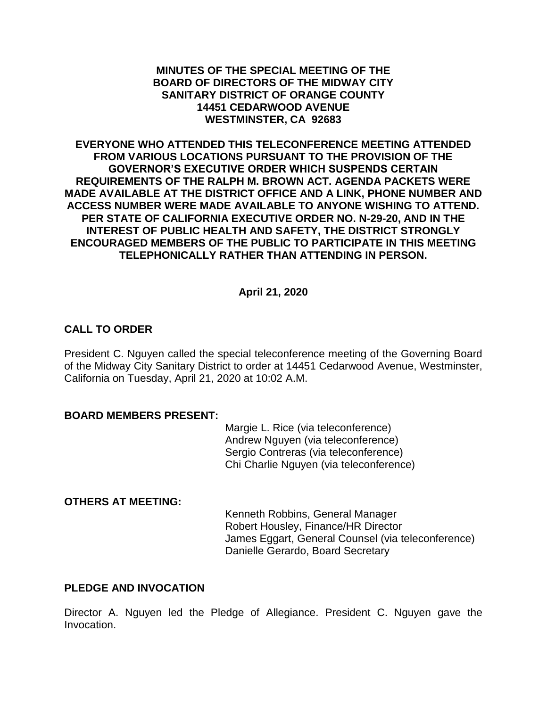### **MINUTES OF THE SPECIAL MEETING OF THE BOARD OF DIRECTORS OF THE MIDWAY CITY SANITARY DISTRICT OF ORANGE COUNTY 14451 CEDARWOOD AVENUE WESTMINSTER, CA 92683**

**EVERYONE WHO ATTENDED THIS TELECONFERENCE MEETING ATTENDED FROM VARIOUS LOCATIONS PURSUANT TO THE PROVISION OF THE GOVERNOR'S EXECUTIVE ORDER WHICH SUSPENDS CERTAIN REQUIREMENTS OF THE RALPH M. BROWN ACT. AGENDA PACKETS WERE MADE AVAILABLE AT THE DISTRICT OFFICE AND A LINK, PHONE NUMBER AND ACCESS NUMBER WERE MADE AVAILABLE TO ANYONE WISHING TO ATTEND. PER STATE OF CALIFORNIA EXECUTIVE ORDER NO. N-29-20, AND IN THE INTEREST OF PUBLIC HEALTH AND SAFETY, THE DISTRICT STRONGLY ENCOURAGED MEMBERS OF THE PUBLIC TO PARTICIPATE IN THIS MEETING TELEPHONICALLY RATHER THAN ATTENDING IN PERSON.**

## **April 21, 2020**

## **CALL TO ORDER**

President C. Nguyen called the special teleconference meeting of the Governing Board of the Midway City Sanitary District to order at 14451 Cedarwood Avenue, Westminster, California on Tuesday, April 21, 2020 at 10:02 A.M.

#### **BOARD MEMBERS PRESENT:**

Margie L. Rice (via teleconference) Andrew Nguyen (via teleconference) Sergio Contreras (via teleconference) Chi Charlie Nguyen (via teleconference)

### **OTHERS AT MEETING:**

Kenneth Robbins, General Manager Robert Housley, Finance/HR Director James Eggart, General Counsel (via teleconference) Danielle Gerardo, Board Secretary

## **PLEDGE AND INVOCATION**

Director A. Nguyen led the Pledge of Allegiance. President C. Nguyen gave the Invocation.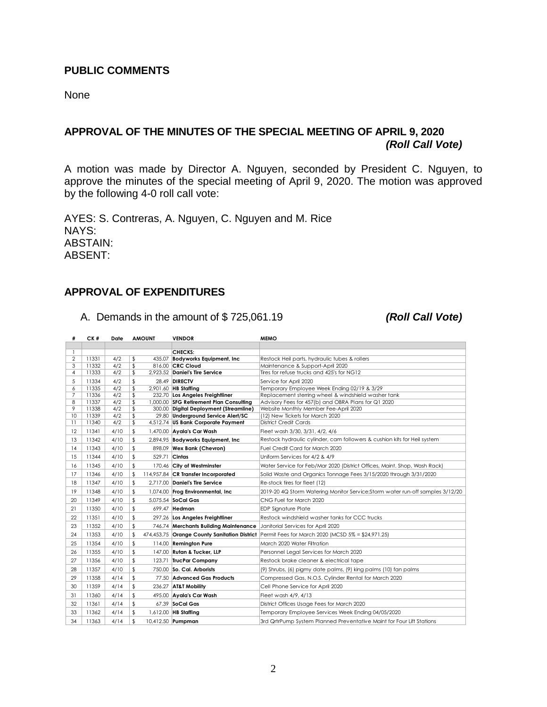#### **PUBLIC COMMENTS**

None

# **APPROVAL OF THE MINUTES OF THE SPECIAL MEETING OF APRIL 9, 2020** *(Roll Call Vote)*

A motion was made by Director A. Nguyen, seconded by President C. Nguyen, to approve the minutes of the special meeting of April 9, 2020. The motion was approved by the following 4-0 roll call vote:

AYES: S. Contreras, A. Nguyen, C. Nguyen and M. Rice NAYS: ABSTAIN: ABSENT:

### **APPROVAL OF EXPENDITURES**

A. Demands in the amount of \$ 725,061.19 *(Roll Call Vote)*

| #                   | CK#   | Date | <b>AMOUNT</b> | <b>VENDOR</b>                                | <b>MEMO</b>                                                                    |
|---------------------|-------|------|---------------|----------------------------------------------|--------------------------------------------------------------------------------|
|                     |       |      |               |                                              |                                                                                |
| 1<br>$\overline{2}$ | 11331 | 4/2  | \$<br>435.07  | CHECKS:<br><b>Bodyworks Equipment, Inc.</b>  | Restock Heil parts, hydraulic tubes & rollers                                  |
| 3                   | 11332 | 4/2  | \$            | 816.00 CRC Cloud                             | Maintenance & Support-April 2020                                               |
| 4                   | 11333 | 4/2  | \$            | 2.923.52 Daniel's Tire Service               | Tires for refuse trucks and 425's for NG12                                     |
| 5                   | 11334 | 4/2  | \$            | 28.49 DIRECTV                                | Service for April 2020                                                         |
| 6                   | 11335 | 4/2  | \$            | 2,901.60 HB Staffing                         | Temporary Employee Week Ending 02/19 & 3/29                                    |
| 7                   | 11336 | 4/2  | \$            | 232.70 Los Angeles Freightliner              | Replacement sterring wheel & windshield washer tank                            |
| 8                   | 11337 | 4/2  | \$            | 1,000.00 SFG Retirement Plan Consulting      | Advisory Fees for 457(b) and OBRA Plans for Q1 2020                            |
| 9                   | 11338 | 4/2  | \$            | 300.00 Digital Deployment (Streamline)       | Website Monthly Member Fee-April 2020                                          |
| 10                  | 11339 | 4/2  | \$            | 29.80 Underground Service Alert/SC           | (12) New Tickets for March 2020<br><b>District Credit Cards</b>                |
| 11                  | 11340 | 4/2  | \$            | 4,512.74 US Bank Corporate Payment           |                                                                                |
| 12                  | 11341 | 4/10 | \$            | 1,470.00 Ayala's Car Wash                    | Fleet wash 3/30, 3/31, 4/2, 4/6                                                |
| 13                  | 11342 | 4/10 | \$            | 2,894.95 Bodyworks Equipment, Inc.           | Restock hydraulic cylinder, cam followers & cushion kits for Heil system       |
| 14                  | 11343 | 4/10 | \$            | 898.09 Wex Bank (Chevron)                    | Fuel Credit Card for March 2020                                                |
| 15                  | 11344 | 4/10 | \$<br>529.71  | Cintas                                       | Uniform Services for 4/2 & 4/9                                                 |
| 16                  | 11345 | 4/10 | \$            | 170.46 City of Westminster                   | Water Service for Feb/Mar 2020 (District Offices, Maint. Shop, Wash Rack)      |
| 17                  | 11346 | 4/10 | \$            | 114,957.84 CR Transfer Incorporated          | Solid Waste and Organics Tonnage Fees 3/15/2020 through 3/31/2020              |
| 18                  | 11347 | 4/10 | \$            | 2.717.00 Daniel's Tire Service               | Re-stock tires for fleet (12)                                                  |
| 19                  | 11348 | 4/10 | \$            | 1,074.00 Frog Environmental, Inc.            | 2019-20 4Q Storm Watering Monitor Service; Storm water run-off samples 3/12/20 |
| 20                  | 11349 | 4/10 | \$            | 5,075.54 SoCal Gas                           | CNG Fuel for March 2020                                                        |
| 21                  | 11350 | 4/10 | \$            | 699.47 Hedman                                | <b>EDP Sianature Plate</b>                                                     |
| 22                  | 11351 | 4/10 | \$            | 297.26 Los Angeles Freightliner              | Restock windshield washer tanks for CCC trucks                                 |
| 23                  | 11352 | 4/10 | \$            | 746.74 Merchants Building Maintenance        | Janitorial Services for April 2020                                             |
| 24                  | 11353 | 4/10 | \$            | 474,453.75 Orange County Sanitation District | Permit Fees for March 2020 (MCSD 5% = \$24,971.25)                             |
| 25                  | 11354 | 4/10 | \$            | 114.00 Remington Pure                        | March 2020 Water Filtration                                                    |
| 26                  | 11355 | 4/10 | \$            | 147.00 Rutan & Tucker, LLP                   | Personnel Legal Services for March 2020                                        |
| 27                  | 11356 | 4/10 | \$            | 123.71 TrucPar Company                       | Restock brake cleaner & electrical tape                                        |
| 28                  | 11357 | 4/10 | \$            | 750.00 So. Cal. Arborists                    | (9) Shrubs, (6) pigmy date palms, (9) king palms (10) fan palms                |
| 29                  | 11358 | 4/14 | \$            | 77.50 Advanced Gas Products                  | Compressed Gas, N.O.S. Cylinder Rental for March 2020                          |
| 30                  | 11359 | 4/14 | \$            | 236.27 AT&T Mobility                         | Cell Phone Service for April 2020                                              |
| 31                  | 11360 | 4/14 | \$            | 495.00 Ayala's Car Wash                      | Fleet wash 4/9, 4/13                                                           |
| 32                  | 11361 | 4/14 | \$            | 67.39 SoCal Gas                              | District Offices Usage Fees for March 2020                                     |
| 33                  | 11362 | 4/14 | \$            | 1,612.00 HB Staffing                         | Temporary Employee Services Week Ending 04/05/2020                             |
| 34                  | 11363 | 4/14 | \$            | 10,412.50 Pumpman                            | 3rd QrtrPump System Planned Preventative Maint for Four Lift Stations          |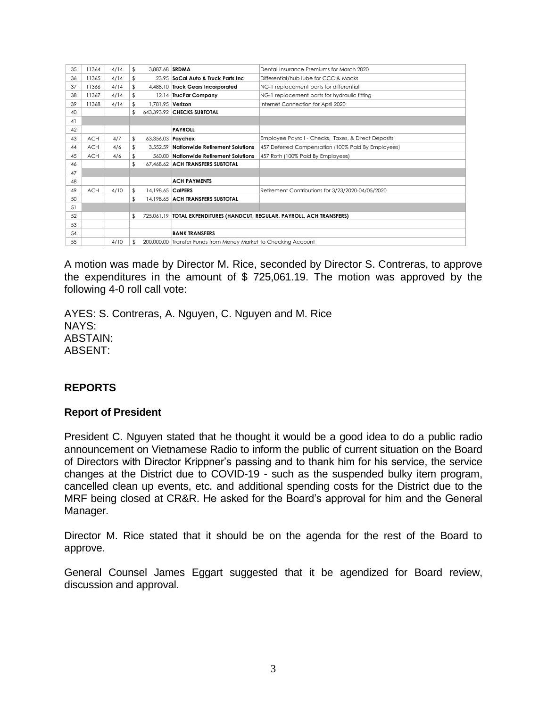| 35 | 11364      | 4/14 | \$  | 3.887.68 SRDMA           |                                                                          | Dental Insurance Premiums for March 2020            |  |
|----|------------|------|-----|--------------------------|--------------------------------------------------------------------------|-----------------------------------------------------|--|
| 36 | 11365      | 4/14 | \$  |                          | 23.95 SoCal Auto & Truck Parts Inc.                                      | Differential/hub lube for CCC & Macks               |  |
| 37 | 11366      | 4/14 | \$  |                          | 4,488.10 Truck Gears Incorporated                                        | NG-1 replacement parts for differential             |  |
| 38 | 11367      | 4/14 | \$  |                          | 12.14 TrucPar Company                                                    | NG-1 replacement parts for hydraulic fitting        |  |
| 39 | 11368      | 4/14 | \$  | 1,781.95 Verizon         |                                                                          | Internet Connection for April 2020                  |  |
| 40 |            |      | \$. |                          | 643.393.92 CHECKS SUBTOTAL                                               |                                                     |  |
| 41 |            |      |     |                          |                                                                          |                                                     |  |
| 42 |            |      |     |                          | <b>PAYROLL</b>                                                           |                                                     |  |
| 43 | <b>ACH</b> | 4/7  | \$  | 63,356.03 <b>Paychex</b> |                                                                          | Employee Payroll - Checks, Taxes, & Direct Deposits |  |
| 44 | <b>ACH</b> | 4/6  | \$  |                          | 3.552.59 Nationwide Retirement Solutions                                 | 457 Deferred Compensation (100% Paid By Employees)  |  |
| 45 | <b>ACH</b> | 4/6  |     |                          | 560.00 Nationwide Retirement Solutions                                   | 457 Roth (100% Paid By Employees)                   |  |
| 46 |            |      | \$  |                          | 67,468.62 ACH TRANSFERS SUBTOTAL                                         |                                                     |  |
| 47 |            |      |     |                          |                                                                          |                                                     |  |
| 48 |            |      |     |                          | <b>ACH PAYMENTS</b>                                                      |                                                     |  |
| 49 | <b>ACH</b> | 4/10 | \$  | 14.198.65 CalPERS        |                                                                          | Retirement Contributions for 3/23/2020-04/05/2020   |  |
| 50 |            |      | \$  |                          | 14.198.65 ACH TRANSFERS SUBTOTAL                                         |                                                     |  |
| 51 |            |      |     |                          |                                                                          |                                                     |  |
| 52 |            |      | \$  |                          | 725,061.19 TOTAL EXPENDITURES (HANDCUT, REGULAR, PAYROLL, ACH TRANSFERS) |                                                     |  |
| 53 |            |      |     |                          |                                                                          |                                                     |  |
| 54 |            |      |     |                          | <b>BANK TRANSFERS</b>                                                    |                                                     |  |
| 55 |            | 4/10 | \$. |                          | 200,000.00 Transfer Funds from Money Market to Checking Account          |                                                     |  |

A motion was made by Director M. Rice, seconded by Director S. Contreras, to approve the expenditures in the amount of \$ 725,061.19. The motion was approved by the following 4-0 roll call vote:

AYES: S. Contreras, A. Nguyen, C. Nguyen and M. Rice NAYS: ABSTAIN: ABSENT:

## **REPORTS**

## **Report of President**

President C. Nguyen stated that he thought it would be a good idea to do a public radio announcement on Vietnamese Radio to inform the public of current situation on the Board of Directors with Director Krippner's passing and to thank him for his service, the service changes at the District due to COVID-19 - such as the suspended bulky item program, cancelled clean up events, etc. and additional spending costs for the District due to the MRF being closed at CR&R. He asked for the Board's approval for him and the General Manager.

Director M. Rice stated that it should be on the agenda for the rest of the Board to approve.

General Counsel James Eggart suggested that it be agendized for Board review, discussion and approval.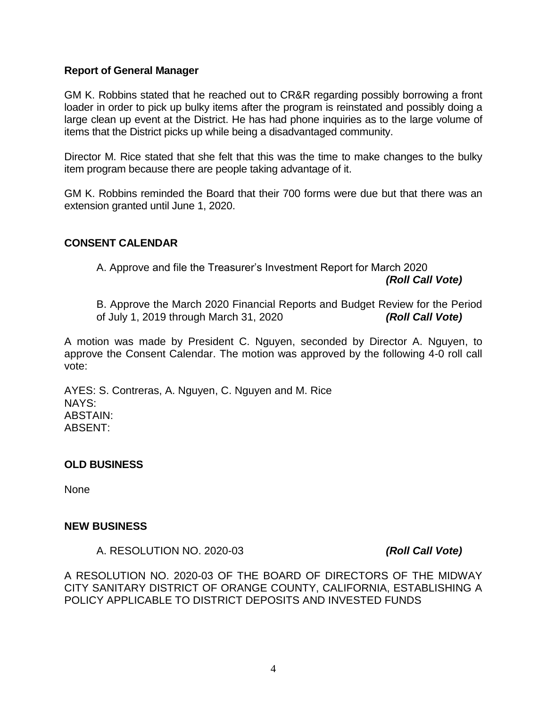### **Report of General Manager**

GM K. Robbins stated that he reached out to CR&R regarding possibly borrowing a front loader in order to pick up bulky items after the program is reinstated and possibly doing a large clean up event at the District. He has had phone inquiries as to the large volume of items that the District picks up while being a disadvantaged community.

Director M. Rice stated that she felt that this was the time to make changes to the bulky item program because there are people taking advantage of it.

GM K. Robbins reminded the Board that their 700 forms were due but that there was an extension granted until June 1, 2020.

### **CONSENT CALENDAR**

A. Approve and file the Treasurer's Investment Report for March 2020

*(Roll Call Vote)*

B. Approve the March 2020 Financial Reports and Budget Review for the Period of July 1, 2019 through March 31, 2020 *(Roll Call Vote)*

A motion was made by President C. Nguyen, seconded by Director A. Nguyen, to approve the Consent Calendar. The motion was approved by the following 4-0 roll call vote:

AYES: S. Contreras, A. Nguyen, C. Nguyen and M. Rice NAYS: ABSTAIN: ABSENT:

#### **OLD BUSINESS**

None

#### **NEW BUSINESS**

A. RESOLUTION NO. 2020-03 *(Roll Call Vote)*

A RESOLUTION NO. 2020-03 OF THE BOARD OF DIRECTORS OF THE MIDWAY CITY SANITARY DISTRICT OF ORANGE COUNTY, CALIFORNIA, ESTABLISHING A POLICY APPLICABLE TO DISTRICT DEPOSITS AND INVESTED FUNDS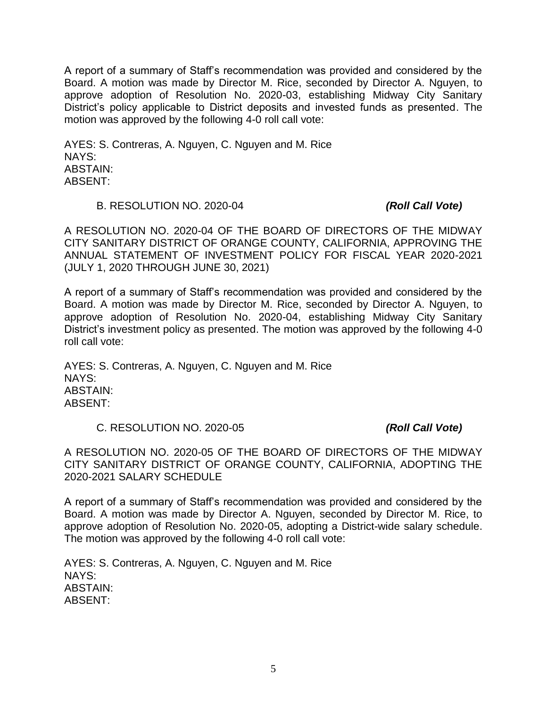A report of a summary of Staff's recommendation was provided and considered by the Board. A motion was made by Director M. Rice, seconded by Director A. Nguyen, to approve adoption of Resolution No. 2020-03, establishing Midway City Sanitary District's policy applicable to District deposits and invested funds as presented. The motion was approved by the following 4-0 roll call vote:

AYES: S. Contreras, A. Nguyen, C. Nguyen and M. Rice NAYS: ABSTAIN: ABSENT:

#### B. RESOLUTION NO. 2020-04 *(Roll Call Vote)*

A RESOLUTION NO. 2020-04 OF THE BOARD OF DIRECTORS OF THE MIDWAY CITY SANITARY DISTRICT OF ORANGE COUNTY, CALIFORNIA, APPROVING THE ANNUAL STATEMENT OF INVESTMENT POLICY FOR FISCAL YEAR 2020-2021 (JULY 1, 2020 THROUGH JUNE 30, 2021)

A report of a summary of Staff's recommendation was provided and considered by the Board. A motion was made by Director M. Rice, seconded by Director A. Nguyen, to approve adoption of Resolution No. 2020-04, establishing Midway City Sanitary District's investment policy as presented. The motion was approved by the following 4-0 roll call vote:

AYES: S. Contreras, A. Nguyen, C. Nguyen and M. Rice NAYS: ABSTAIN: ABSENT:

#### C. RESOLUTION NO. 2020-05 *(Roll Call Vote)*

A RESOLUTION NO. 2020-05 OF THE BOARD OF DIRECTORS OF THE MIDWAY CITY SANITARY DISTRICT OF ORANGE COUNTY, CALIFORNIA, ADOPTING THE 2020-2021 SALARY SCHEDULE

A report of a summary of Staff's recommendation was provided and considered by the Board. A motion was made by Director A. Nguyen, seconded by Director M. Rice, to approve adoption of Resolution No. 2020-05, adopting a District-wide salary schedule. The motion was approved by the following 4-0 roll call vote:

AYES: S. Contreras, A. Nguyen, C. Nguyen and M. Rice NAYS: ABSTAIN: ABSENT: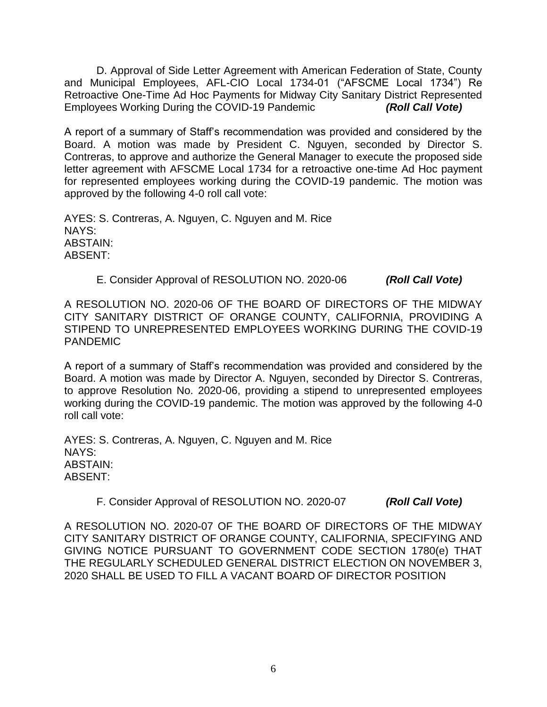D. Approval of Side Letter Agreement with American Federation of State, County and Municipal Employees, AFL-CIO Local 1734-01 ("AFSCME Local 1734") Re Retroactive One-Time Ad Hoc Payments for Midway City Sanitary District Represented Employees Working During the COVID-19 Pandemic *(Roll Call Vote)*

A report of a summary of Staff's recommendation was provided and considered by the Board. A motion was made by President C. Nguyen, seconded by Director S. Contreras, to approve and authorize the General Manager to execute the proposed side letter agreement with AFSCME Local 1734 for a retroactive one-time Ad Hoc payment for represented employees working during the COVID-19 pandemic. The motion was approved by the following 4-0 roll call vote:

AYES: S. Contreras, A. Nguyen, C. Nguyen and M. Rice NAYS: ABSTAIN: ABSENT:

## E. Consider Approval of RESOLUTION NO. 2020-06 *(Roll Call Vote)*

A RESOLUTION NO. 2020-06 OF THE BOARD OF DIRECTORS OF THE MIDWAY CITY SANITARY DISTRICT OF ORANGE COUNTY, CALIFORNIA, PROVIDING A STIPEND TO UNREPRESENTED EMPLOYEES WORKING DURING THE COVID-19 PANDEMIC

A report of a summary of Staff's recommendation was provided and considered by the Board. A motion was made by Director A. Nguyen, seconded by Director S. Contreras, to approve Resolution No. 2020-06, providing a stipend to unrepresented employees working during the COVID-19 pandemic. The motion was approved by the following 4-0 roll call vote:

AYES: S. Contreras, A. Nguyen, C. Nguyen and M. Rice NAYS: ABSTAIN: ABSENT:

F. Consider Approval of RESOLUTION NO. 2020-07 *(Roll Call Vote)*

A RESOLUTION NO. 2020-07 OF THE BOARD OF DIRECTORS OF THE MIDWAY CITY SANITARY DISTRICT OF ORANGE COUNTY, CALIFORNIA, SPECIFYING AND GIVING NOTICE PURSUANT TO GOVERNMENT CODE SECTION 1780(e) THAT THE REGULARLY SCHEDULED GENERAL DISTRICT ELECTION ON NOVEMBER 3, 2020 SHALL BE USED TO FILL A VACANT BOARD OF DIRECTOR POSITION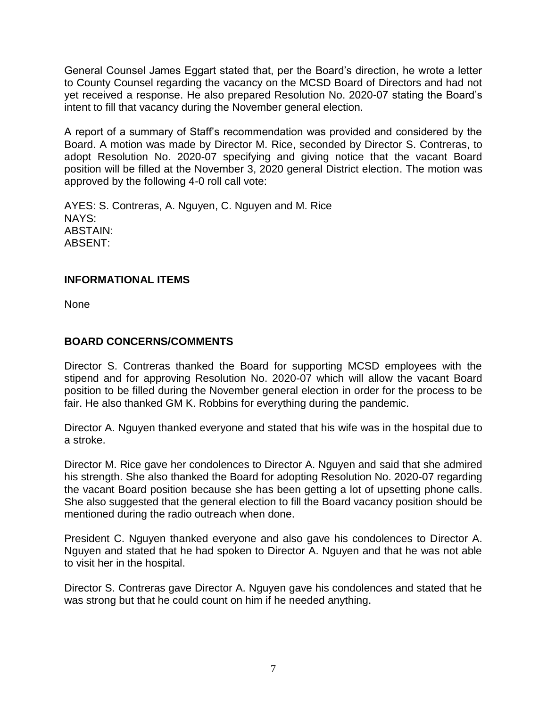General Counsel James Eggart stated that, per the Board's direction, he wrote a letter to County Counsel regarding the vacancy on the MCSD Board of Directors and had not yet received a response. He also prepared Resolution No. 2020-07 stating the Board's intent to fill that vacancy during the November general election.

A report of a summary of Staff's recommendation was provided and considered by the Board. A motion was made by Director M. Rice, seconded by Director S. Contreras, to adopt Resolution No. 2020-07 specifying and giving notice that the vacant Board position will be filled at the November 3, 2020 general District election. The motion was approved by the following 4-0 roll call vote:

AYES: S. Contreras, A. Nguyen, C. Nguyen and M. Rice NAYS: ABSTAIN: ABSENT:

## **INFORMATIONAL ITEMS**

None

# **BOARD CONCERNS/COMMENTS**

Director S. Contreras thanked the Board for supporting MCSD employees with the stipend and for approving Resolution No. 2020-07 which will allow the vacant Board position to be filled during the November general election in order for the process to be fair. He also thanked GM K. Robbins for everything during the pandemic.

Director A. Nguyen thanked everyone and stated that his wife was in the hospital due to a stroke.

Director M. Rice gave her condolences to Director A. Nguyen and said that she admired his strength. She also thanked the Board for adopting Resolution No. 2020-07 regarding the vacant Board position because she has been getting a lot of upsetting phone calls. She also suggested that the general election to fill the Board vacancy position should be mentioned during the radio outreach when done.

President C. Nguyen thanked everyone and also gave his condolences to Director A. Nguyen and stated that he had spoken to Director A. Nguyen and that he was not able to visit her in the hospital.

Director S. Contreras gave Director A. Nguyen gave his condolences and stated that he was strong but that he could count on him if he needed anything.